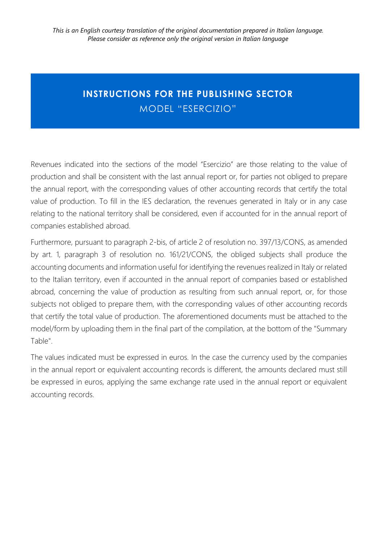### **INSTRUCTIONS FOR THE PUBLISHING SECTOR**  MODEL "ESERCIZIO"

Revenues indicated into the sections of the model "Esercizio" are those relating to the value of production and shall be consistent with the last annual report or, for parties not obliged to prepare the annual report, with the corresponding values of other accounting records that certify the total value of production. To fill in the IES declaration, the revenues generated in Italy or in any case relating to the national territory shall be considered, even if accounted for in the annual report of companies established abroad.

Furthermore, pursuant to paragraph 2-bis, of article 2 of resolution no. 397/13/CONS, as amended by art. 1, paragraph 3 of resolution no. 161/21/CONS, the obliged subjects shall produce the accounting documents and information useful for identifying the revenues realized in Italy or related to the Italian territory, even if accounted in the annual report of companies based or established abroad, concerning the value of production as resulting from such annual report, or, for those subjects not obliged to prepare them, with the corresponding values of other accounting records that certify the total value of production. The aforementioned documents must be attached to the model/form by uploading them in the final part of the compilation, at the bottom of the "Summary Table".

The values indicated must be expressed in euros. In the case the currency used by the companies in the annual report or equivalent accounting records is different, the amounts declared must still be expressed in euros, applying the same exchange rate used in the annual report or equivalent accounting records.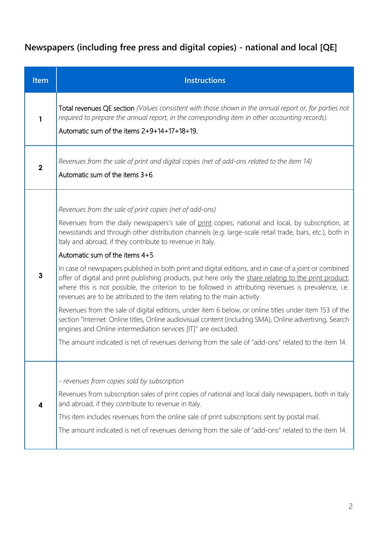# **Newspapers (including free press and digital copies) - national and local [QE]**

| Item                    | <b>Instructions</b>                                                                                                                                                                                                                                                                                                                                                                                                                                                                                                                                                                                                                                                                                                                                                                                                                                                                                                                                                                                                                                                                                                                                                             |
|-------------------------|---------------------------------------------------------------------------------------------------------------------------------------------------------------------------------------------------------------------------------------------------------------------------------------------------------------------------------------------------------------------------------------------------------------------------------------------------------------------------------------------------------------------------------------------------------------------------------------------------------------------------------------------------------------------------------------------------------------------------------------------------------------------------------------------------------------------------------------------------------------------------------------------------------------------------------------------------------------------------------------------------------------------------------------------------------------------------------------------------------------------------------------------------------------------------------|
| 1                       | Total revenues QE section (Values consistent with those shown in the annual report or, for parties not<br>required to prepare the annual report, in the corresponding item in other accounting records).<br>Automatic sum of the items 2+9+14+17+18+19.                                                                                                                                                                                                                                                                                                                                                                                                                                                                                                                                                                                                                                                                                                                                                                                                                                                                                                                         |
| $\overline{\mathbf{2}}$ | Revenues from the sale of print and digital copies (net of add-ons related to the item 14)<br>Automatic sum of the items 3+6.                                                                                                                                                                                                                                                                                                                                                                                                                                                                                                                                                                                                                                                                                                                                                                                                                                                                                                                                                                                                                                                   |
| $\mathbf{3}$            | Revenues from the sale of print copies (net of add-ons)<br>Revenues from the daily newspapers's sale of print copies, national and local, by subscription, at<br>newsstands and through other distribution channels (e.g. large-scale retail trade, bars, etc.), both in<br>Italy and abroad, if they contribute to revenue in Italy.<br>Automatic sum of the items 4+5.<br>In case of newspapers published in both print and digital editions, and in case of a joint or combined<br>offer of digital and print publishing products, put here only the share relating to the print product;<br>where this is not possible, the criterion to be followed in attributing revenues is prevalence, i.e.<br>revenues are to be attributed to the item relating to the main activity.<br>Revenues from the sale of digital editions, under item 6 below, or online titles under item 153 of the<br>section "Internet: Online titles, Online audiovisual content (including SMA), Online advertising, Search<br>engines and Online intermediation services [IT]" are excluded.<br>The amount indicated is net of revenues deriving from the sale of "add-ons" related to the item 14. |
| 4                       | - revenues from copies sold by subscription<br>Revenues from subscription sales of print copies of national and local daily newspapers, both in Italy<br>and abroad, if they contribute to revenue in Italy.<br>This item includes revenues from the online sale of print subscriptions sent by postal mail.<br>The amount indicated is net of revenues deriving from the sale of "add-ons" related to the item 14.                                                                                                                                                                                                                                                                                                                                                                                                                                                                                                                                                                                                                                                                                                                                                             |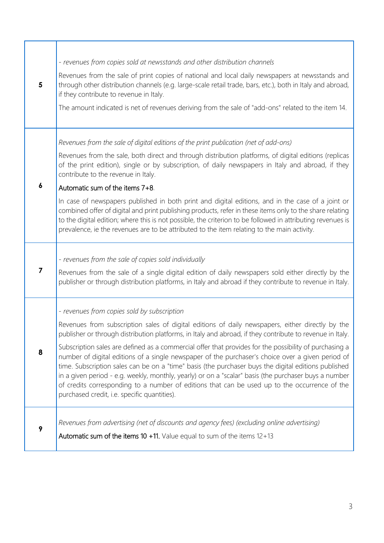| 5                       | - revenues from copies sold at newsstands and other distribution channels<br>Revenues from the sale of print copies of national and local daily newspapers at newsstands and<br>through other distribution channels (e.g. large-scale retail trade, bars, etc.), both in Italy and abroad,<br>if they contribute to revenue in Italy.<br>The amount indicated is net of revenues deriving from the sale of "add-ons" related to the item 14.                                                                                                                                                                                                                                                                                                                                                                                                  |
|-------------------------|-----------------------------------------------------------------------------------------------------------------------------------------------------------------------------------------------------------------------------------------------------------------------------------------------------------------------------------------------------------------------------------------------------------------------------------------------------------------------------------------------------------------------------------------------------------------------------------------------------------------------------------------------------------------------------------------------------------------------------------------------------------------------------------------------------------------------------------------------|
|                         | Revenues from the sale of digital editions of the print publication (net of add-ons)<br>Revenues from the sale, both direct and through distribution platforms, of digital editions (replicas<br>of the print edition), single or by subscription, of daily newspapers in Italy and abroad, if they<br>contribute to the revenue in Italy.                                                                                                                                                                                                                                                                                                                                                                                                                                                                                                    |
| $\boldsymbol{6}$        | Automatic sum of the items 7+8.<br>In case of newspapers published in both print and digital editions, and in the case of a joint or<br>combined offer of digital and print publishing products, refer in these items only to the share relating<br>to the digital edition; where this is not possible, the criterion to be followed in attributing revenues is<br>prevalence, ie the revenues are to be attributed to the item relating to the main activity.                                                                                                                                                                                                                                                                                                                                                                                |
| $\overline{\mathbf{z}}$ | - revenues from the sale of copies sold individually<br>Revenues from the sale of a single digital edition of daily newspapers sold either directly by the<br>publisher or through distribution platforms, in Italy and abroad if they contribute to revenue in Italy.                                                                                                                                                                                                                                                                                                                                                                                                                                                                                                                                                                        |
| 8                       | - revenues from copies sold by subscription<br>Revenues from subscription sales of digital editions of daily newspapers, either directly by the<br>publisher or through distribution platforms, in Italy and abroad, if they contribute to revenue in Italy.<br>Subscription sales are defined as a commercial offer that provides for the possibility of purchasing a<br>number of digital editions of a single newspaper of the purchaser's choice over a given period of<br>time. Subscription sales can be on a "time" basis (the purchaser buys the digital editions published<br>in a given period - e.g. weekly, monthly, yearly) or on a "scalar" basis (the purchaser buys a number<br>of credits corresponding to a number of editions that can be used up to the occurrence of the<br>purchased credit, i.e. specific quantities). |
| 9                       | Revenues from advertising (net of discounts and agency fees) (excluding online advertising)<br>Automatic sum of the items 10 $+11$ . Value equal to sum of the items 12+13                                                                                                                                                                                                                                                                                                                                                                                                                                                                                                                                                                                                                                                                    |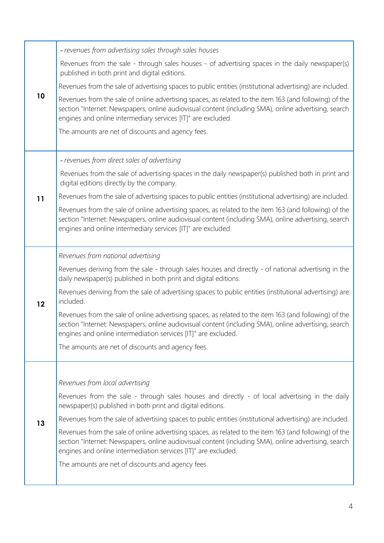| 10 | - revenues from advertising sales through sales houses                                                                                                                                                                                                                            |
|----|-----------------------------------------------------------------------------------------------------------------------------------------------------------------------------------------------------------------------------------------------------------------------------------|
|    | Revenues from the sale - through sales houses - of advertising spaces in the daily newspaper(s)<br>published in both print and digital editions.                                                                                                                                  |
|    | Revenues from the sale of advertising spaces to public entities (institutional advertising) are included.                                                                                                                                                                         |
|    | Revenues from the sale of online advertising spaces, as related to the item 163 (and following) of the<br>section "Internet: Newspapers, online audiovisual content (including SMA), online advertising, search<br>engines and online intermediary services [IT]" are excluded.   |
|    | The amounts are net of discounts and agency fees.                                                                                                                                                                                                                                 |
|    | - revenues from direct sales of advertising                                                                                                                                                                                                                                       |
|    | Revenues from the sale of advertising spaces in the daily newspaper(s) published both in print and<br>digital editions directly by the company.                                                                                                                                   |
| 11 | Revenues from the sale of advertising spaces to public entities (institutional advertising) are included.                                                                                                                                                                         |
|    | Revenues from the sale of online advertising spaces, as related to the item 163 (and following) of the<br>section "Internet: Newspapers, online audiovisual content (including SMA), online advertising, search<br>engines and online intermediary services [IT]" are excluded.   |
|    | Revenues from national advertising                                                                                                                                                                                                                                                |
|    | Revenues deriving from the sale - through sales houses and directly - of national advertising in the<br>daily newspaper(s) published in both print and digital editions.                                                                                                          |
| 12 | Revenues deriving from the sale of advertising spaces to public entities (institutional advertising) are<br>included.                                                                                                                                                             |
|    | Revenues from the sale of online advertising spaces, as related to the item 163 (and following) of the<br>section "Internet: Newspapers, online audiovisual content (including SMA), online advertising, search<br>engines and online intermediation services [IT]" are excluded. |
|    | The amounts are net of discounts and agency fees.                                                                                                                                                                                                                                 |
|    |                                                                                                                                                                                                                                                                                   |
|    | Revenues from local advertising                                                                                                                                                                                                                                                   |
|    | Revenues from the sale - through sales houses and directly - of local advertising in the daily<br>newspaper(s) published in both print and digital editions.                                                                                                                      |
| 13 | Revenues from the sale of advertising spaces to public entities (institutional advertising) are included.                                                                                                                                                                         |
|    | Revenues from the sale of online advertising spaces, as related to the item 163 (and following) of the<br>section "Internet: Newspapers, online audiovisual content (including SMA), online advertising, search<br>engines and online intermediation services [IT]" are excluded. |
|    | The amounts are net of discounts and agency fees.                                                                                                                                                                                                                                 |
|    |                                                                                                                                                                                                                                                                                   |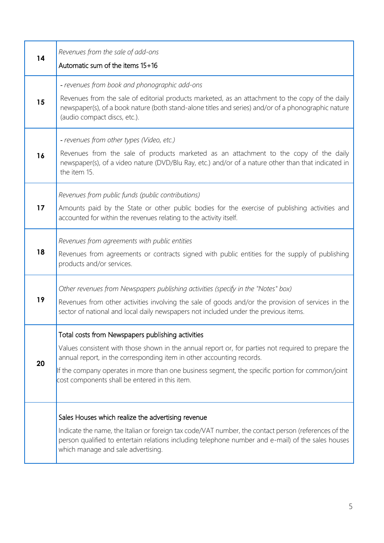| 14 | Revenues from the sale of add-ons<br>Automatic sum of the items 15+16                                                                                                                                                                                                                                                                                                                   |
|----|-----------------------------------------------------------------------------------------------------------------------------------------------------------------------------------------------------------------------------------------------------------------------------------------------------------------------------------------------------------------------------------------|
| 15 | - revenues from book and phonographic add-ons<br>Revenues from the sale of editorial products marketed, as an attachment to the copy of the daily<br>newspaper(s), of a book nature (both stand-alone titles and series) and/or of a phonographic nature<br>(audio compact discs, etc.).                                                                                                |
| 16 | - revenues from other types (Video, etc.)<br>Revenues from the sale of products marketed as an attachment to the copy of the daily<br>newspaper(s), of a video nature (DVD/Blu Ray, etc.) and/or of a nature other than that indicated in<br>the item 15.                                                                                                                               |
| 17 | Revenues from public funds (public contributions)<br>Amounts paid by the State or other public bodies for the exercise of publishing activities and<br>accounted for within the revenues relating to the activity itself.                                                                                                                                                               |
| 18 | Revenues from agreements with public entities<br>Revenues from agreements or contracts signed with public entities for the supply of publishing<br>products and/or services.                                                                                                                                                                                                            |
| 19 | Other revenues from Newspapers publishing activities (specify in the "Notes" box)<br>Revenues from other activities involving the sale of goods and/or the provision of services in the<br>sector of national and local daily newspapers not included under the previous items.                                                                                                         |
| 20 | Total costs from Newspapers publishing activities<br>Values consistent with those shown in the annual report or, for parties not required to prepare the<br>annual report, in the corresponding item in other accounting records.<br>If the company operates in more than one business segment, the specific portion for common/joint<br>cost components shall be entered in this item. |
|    | Sales Houses which realize the advertising revenue<br>Indicate the name, the Italian or foreign tax code/VAT number, the contact person (references of the<br>person qualified to entertain relations including telephone number and e-mail) of the sales houses<br>which manage and sale advertising.                                                                                  |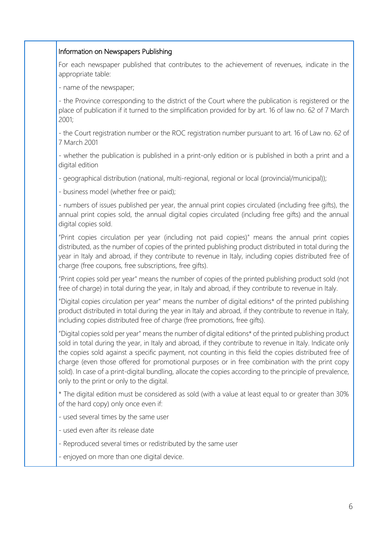#### Information on Newspapers Publishing

For each newspaper published that contributes to the achievement of revenues, indicate in the appropriate table:

- name of the newspaper;

- the Province corresponding to the district of the Court where the publication is registered or the place of publication if it turned to the simplification provided for by art. 16 of law no. 62 of 7 March 2001;

- the Court registration number or the ROC registration number pursuant to art. 16 of Law no. 62 of 7 March 2001

- whether the publication is published in a print-only edition or is published in both a print and a digital edition

- geographical distribution (national, multi-regional, regional or local (provincial/municipal));

- business model (whether free or paid);

- numbers of issues published per year, the annual print copies circulated (including free gifts), the annual print copies sold, the annual digital copies circulated (including free gifts) and the annual digital copies sold.

"Print copies circulation per year (including not paid copies)" means the annual print copies distributed, as the number of copies of the printed publishing product distributed in total during the year in Italy and abroad, if they contribute to revenue in Italy, including copies distributed free of charge (free coupons, free subscriptions, free gifts).

"Print copies sold per year" means the number of copies of the printed publishing product sold (not free of charge) in total during the year, in Italy and abroad, if they contribute to revenue in Italy.

"Digital copies circulation per year" means the number of digital editions\* of the printed publishing product distributed in total during the year in Italy and abroad, if they contribute to revenue in Italy, including copies distributed free of charge (free promotions, free gifts).

"Digital copies sold per year" means the number of digital editions\* of the printed publishing product sold in total during the year, in Italy and abroad, if they contribute to revenue in Italy. Indicate only the copies sold against a specific payment, not counting in this field the copies distributed free of charge (even those offered for promotional purposes or in free combination with the print copy sold). In case of a print-digital bundling, allocate the copies according to the principle of prevalence, only to the print or only to the digital.

\* The digital edition must be considered as sold (with a value at least equal to or greater than 30% of the hard copy) only once even if:

- used several times by the same user

- used even after its release date

- Reproduced several times or redistributed by the same user

- enjoyed on more than one digital device.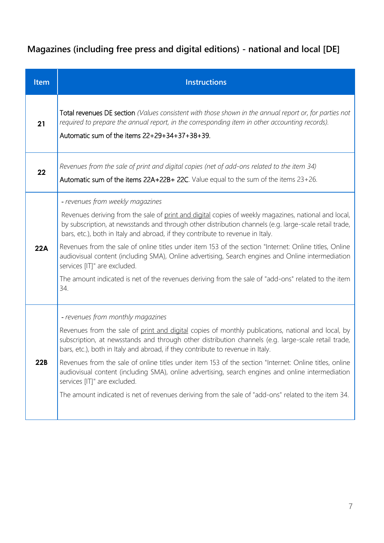# **Magazines (including free press and digital editions) - national and local [DE]**

| <b>Item</b> | <b>Instructions</b>                                                                                                                                                                                                                                                                                                                                                                                                                                                                                                                                                                                                                                                                               |
|-------------|---------------------------------------------------------------------------------------------------------------------------------------------------------------------------------------------------------------------------------------------------------------------------------------------------------------------------------------------------------------------------------------------------------------------------------------------------------------------------------------------------------------------------------------------------------------------------------------------------------------------------------------------------------------------------------------------------|
| 21          | Total revenues DE section (Values consistent with those shown in the annual report or, for parties not<br>required to prepare the annual report, in the corresponding item in other accounting records).<br>Automatic sum of the items $22+29+34+37+38+39$ .                                                                                                                                                                                                                                                                                                                                                                                                                                      |
| 22          | Revenues from the sale of print and digital copies (net of add-ons related to the item 34)<br>Automatic sum of the items 22A+22B+ 22C. Value equal to the sum of the items 23+26.                                                                                                                                                                                                                                                                                                                                                                                                                                                                                                                 |
| 22A         | - revenues from weekly magazines<br>Revenues deriving from the sale of print and digital copies of weekly magazines, national and local,<br>by subscription, at newsstands and through other distribution channels (e.g. large-scale retail trade,<br>bars, etc.), both in Italy and abroad, if they contribute to revenue in Italy.<br>Revenues from the sale of online titles under item 153 of the section "Internet: Online titles, Online<br>audiovisual content (including SMA), Online advertising, Search engines and Online intermediation<br>services [IT]" are excluded.<br>The amount indicated is net of the revenues deriving from the sale of "add-ons" related to the item<br>34. |
| 22B         | - revenues from monthly magazines<br>Revenues from the sale of print and digital copies of monthly publications, national and local, by<br>subscription, at newsstands and through other distribution channels (e.g. large-scale retail trade,<br>bars, etc.), both in Italy and abroad, if they contribute to revenue in Italy.<br>Revenues from the sale of online titles under item 153 of the section "Internet: Online titles, online<br>audiovisual content (including SMA), online advertising, search engines and online intermediation<br>services [IT]" are excluded.<br>The amount indicated is net of revenues deriving from the sale of "add-ons" related to the item 34.            |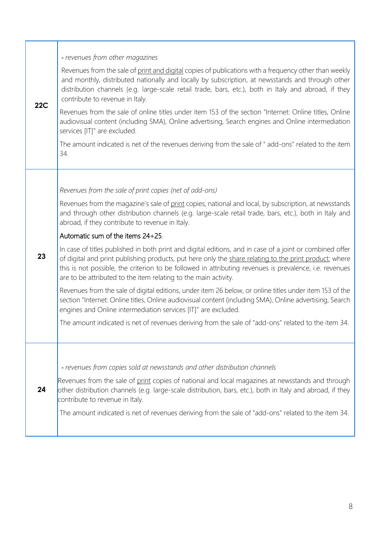| 22C | - revenues from other magazines                                                                                                                                                                                                                                                                                                                                                                  |
|-----|--------------------------------------------------------------------------------------------------------------------------------------------------------------------------------------------------------------------------------------------------------------------------------------------------------------------------------------------------------------------------------------------------|
|     | Revenues from the sale of print and digital copies of publications with a frequency other than weekly<br>and monthly, distributed nationally and locally by subscription, at newsstands and through other<br>distribution channels (e.g. large-scale retail trade, bars, etc.), both in Italy and abroad, if they<br>contribute to revenue in Italy.                                             |
|     | Revenues from the sale of online titles under item 153 of the section "Internet: Online titles, Online<br>audiovisual content (including SMA), Online advertising, Search engines and Online intermediation<br>services [IT]" are excluded.                                                                                                                                                      |
|     | The amount indicated is net of the revenues deriving from the sale of " add-ons" related to the item<br>34.                                                                                                                                                                                                                                                                                      |
|     |                                                                                                                                                                                                                                                                                                                                                                                                  |
|     | Revenues from the sale of print copies (net of add-ons)                                                                                                                                                                                                                                                                                                                                          |
|     | Revenues from the magazine's sale of print copies, national and local, by subscription, at newsstands<br>and through other distribution channels (e.g. large-scale retail trade, bars, etc.), both in Italy and<br>abroad, if they contribute to revenue in Italy.                                                                                                                               |
|     | Automatic sum of the items 24+25.                                                                                                                                                                                                                                                                                                                                                                |
| 23  | In case of titles published in both print and digital editions, and in case of a joint or combined offer<br>of digital and print publishing products, put here only the share relating to the print product; where<br>this is not possible, the criterion to be followed in attributing revenues is prevalence, i.e. revenues<br>are to be attributed to the item relating to the main activity. |
|     | Revenues from the sale of digital editions, under item 26 below, or online titles under item 153 of the<br>section "Internet: Online titles, Online audiovisual content (including SMA), Online advertising, Search<br>engines and Online intermediation services [IT]" are excluded.                                                                                                            |
|     | The amount indicated is net of revenues deriving from the sale of "add-ons" related to the item 34.                                                                                                                                                                                                                                                                                              |
|     |                                                                                                                                                                                                                                                                                                                                                                                                  |
|     | - revenues from copies sold at newsstands and other distribution channels                                                                                                                                                                                                                                                                                                                        |
| 24  | Revenues from the sale of print copies of national and local magazines at newsstands and through<br>other distribution channels (e.g. large-scale distribution, bars, etc.), both in Italy and abroad, if they<br>contribute to revenue in Italy.                                                                                                                                                |
|     | The amount indicated is net of revenues deriving from the sale of "add-ons" related to the item 34.                                                                                                                                                                                                                                                                                              |
|     |                                                                                                                                                                                                                                                                                                                                                                                                  |

1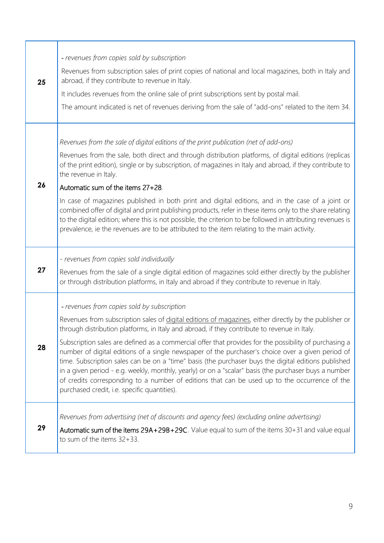|    | - revenues from copies sold by subscription                                                                                                                                                                                                                                                                                                                                                                                                                                                                                                                                   |
|----|-------------------------------------------------------------------------------------------------------------------------------------------------------------------------------------------------------------------------------------------------------------------------------------------------------------------------------------------------------------------------------------------------------------------------------------------------------------------------------------------------------------------------------------------------------------------------------|
| 25 | Revenues from subscription sales of print copies of national and local magazines, both in Italy and<br>abroad, if they contribute to revenue in Italy.                                                                                                                                                                                                                                                                                                                                                                                                                        |
|    | It includes revenues from the online sale of print subscriptions sent by postal mail.                                                                                                                                                                                                                                                                                                                                                                                                                                                                                         |
|    | The amount indicated is net of revenues deriving from the sale of "add-ons" related to the item 34.                                                                                                                                                                                                                                                                                                                                                                                                                                                                           |
|    | Revenues from the sale of digital editions of the print publication (net of add-ons)                                                                                                                                                                                                                                                                                                                                                                                                                                                                                          |
|    | Revenues from the sale, both direct and through distribution platforms, of digital editions (replicas<br>of the print edition), single or by subscription, of magazines in Italy and abroad, if they contribute to<br>the revenue in Italy.                                                                                                                                                                                                                                                                                                                                   |
| 26 | Automatic sum of the items 27+28.                                                                                                                                                                                                                                                                                                                                                                                                                                                                                                                                             |
|    | In case of magazines published in both print and digital editions, and in the case of a joint or<br>combined offer of digital and print publishing products, refer in these items only to the share relating<br>to the digital edition; where this is not possible, the criterion to be followed in attributing revenues is<br>prevalence, ie the revenues are to be attributed to the item relating to the main activity.                                                                                                                                                    |
|    |                                                                                                                                                                                                                                                                                                                                                                                                                                                                                                                                                                               |
|    |                                                                                                                                                                                                                                                                                                                                                                                                                                                                                                                                                                               |
| 27 | - revenues from copies sold individually<br>Revenues from the sale of a single digital edition of magazines sold either directly by the publisher<br>or through distribution platforms, in Italy and abroad if they contribute to revenue in Italy.                                                                                                                                                                                                                                                                                                                           |
|    |                                                                                                                                                                                                                                                                                                                                                                                                                                                                                                                                                                               |
|    | - revenues from copies sold by subscription<br>Revenues from subscription sales of digital editions of magazines, either directly by the publisher or<br>through distribution platforms, in Italy and abroad, if they contribute to revenue in Italy.                                                                                                                                                                                                                                                                                                                         |
| 28 | Subscription sales are defined as a commercial offer that provides for the possibility of purchasing a<br>number of digital editions of a single newspaper of the purchaser's choice over a given period of<br>time. Subscription sales can be on a "time" basis (the purchaser buys the digital editions published<br>in a given period - e.g. weekly, monthly, yearly) or on a "scalar" basis (the purchaser buys a number<br>of credits corresponding to a number of editions that can be used up to the occurrence of the<br>purchased credit, i.e. specific quantities). |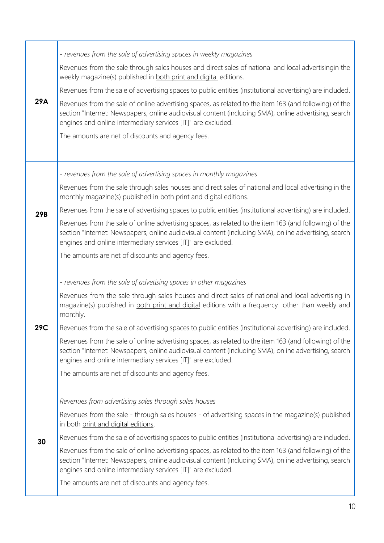| 29A        | - revenues from the sale of advertising spaces in weekly magazines                                                                                                                                                                                                                   |
|------------|--------------------------------------------------------------------------------------------------------------------------------------------------------------------------------------------------------------------------------------------------------------------------------------|
|            | Revenues from the sale through sales houses and direct sales of national and local advertisingin the<br>weekly magazine(s) published in both print and digital editions.                                                                                                             |
|            | Revenues from the sale of advertising spaces to public entities (institutional advertising) are included.                                                                                                                                                                            |
|            | Revenues from the sale of online advertising spaces, as related to the item 163 (and following) of the<br>section "Internet: Newspapers, online audiovisual content (including SMA), online advertising, search<br>engines and online intermediary services [IT]" are excluded.      |
|            | The amounts are net of discounts and agency fees.                                                                                                                                                                                                                                    |
|            |                                                                                                                                                                                                                                                                                      |
|            | - revenues from the sale of advertising spaces in monthly magazines                                                                                                                                                                                                                  |
|            | Revenues from the sale through sales houses and direct sales of national and local advertising in the<br>monthly magazine(s) published in both print and digital editions.                                                                                                           |
| <b>29B</b> | Revenues from the sale of advertising spaces to public entities (institutional advertising) are included.                                                                                                                                                                            |
|            | Revenues from the sale of online advertising spaces, as related to the item 163 (and following) of the<br>section "Internet: Newspapers, online audiovisual content (including SMA), online advertising, search<br>engines and online intermediary services [IT]" are excluded.      |
|            | The amounts are net of discounts and agency fees.                                                                                                                                                                                                                                    |
|            |                                                                                                                                                                                                                                                                                      |
|            |                                                                                                                                                                                                                                                                                      |
|            | - revenues from the sale of advetising spaces in other magazines<br>Revenues from the sale through sales houses and direct sales of national and local advertising in<br>magazine(s) published in both print and digital editions with a frequency other than weekly and<br>monthly. |
| 29C        | Revenues from the sale of advertising spaces to public entities (institutional advertising) are included.                                                                                                                                                                            |
|            | Revenues from the sale of online advertising spaces, as related to the item 163 (and following) of the<br>section "Internet: Newspapers, online audiovisual content (including SMA), online advertising, search<br>engines and online intermediary services [IT]" are excluded.      |
|            | The amounts are net of discounts and agency fees.                                                                                                                                                                                                                                    |
|            | Revenues from advertising sales through sales houses                                                                                                                                                                                                                                 |
|            | Revenues from the sale - through sales houses - of advertising spaces in the magazine(s) published<br>in both print and digital editions.                                                                                                                                            |
| 30         | Revenues from the sale of advertising spaces to public entities (institutional advertising) are included.                                                                                                                                                                            |
|            | Revenues from the sale of online advertising spaces, as related to the item 163 (and following) of the<br>section "Internet: Newspapers, online audiovisual content (including SMA), online advertising, search<br>engines and online intermediary services [IT]" are excluded.      |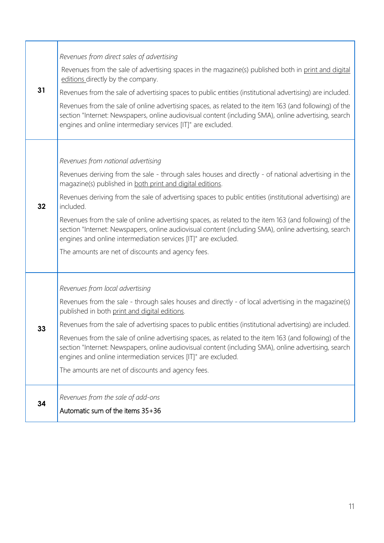| 31 | Revenues from direct sales of advertising                                                                                                                                                                                                                                         |
|----|-----------------------------------------------------------------------------------------------------------------------------------------------------------------------------------------------------------------------------------------------------------------------------------|
|    | Revenues from the sale of advertising spaces in the magazine(s) published both in print and digital<br>editions directly by the company.                                                                                                                                          |
|    | Revenues from the sale of advertising spaces to public entities (institutional advertising) are included.                                                                                                                                                                         |
|    | Revenues from the sale of online advertising spaces, as related to the item 163 (and following) of the<br>section "Internet: Newspapers, online audiovisual content (including SMA), online advertising, search<br>engines and online intermediary services [IT]" are excluded.   |
|    |                                                                                                                                                                                                                                                                                   |
|    | Revenues from national advertising                                                                                                                                                                                                                                                |
|    | Revenues deriving from the sale - through sales houses and directly - of national advertising in the<br>magazine(s) published in both print and digital editions.                                                                                                                 |
| 32 | Revenues deriving from the sale of advertising spaces to public entities (institutional advertising) are<br>included.                                                                                                                                                             |
|    | Revenues from the sale of online advertising spaces, as related to the item 163 (and following) of the<br>section "Internet: Newspapers, online audiovisual content (including SMA), online advertising, search<br>engines and online intermediation services [IT]" are excluded. |
|    | The amounts are net of discounts and agency fees.                                                                                                                                                                                                                                 |
|    | Revenues from local advertising                                                                                                                                                                                                                                                   |
|    | Revenues from the sale - through sales houses and directly - of local advertising in the magazine(s)<br>published in both print and digital editions.                                                                                                                             |
| 33 | Revenues from the sale of advertising spaces to public entities (institutional advertising) are included.                                                                                                                                                                         |
|    | Revenues from the sale of online advertising spaces, as related to the item 163 (and following) of the<br>section "Internet: Newspapers, online audiovisual content (including SMA), online advertising, search<br>engines and online intermediation services [IT]" are excluded. |
|    | The amounts are net of discounts and agency fees.                                                                                                                                                                                                                                 |
| 34 | Revenues from the sale of add-ons                                                                                                                                                                                                                                                 |
|    | Automatic sum of the items 35+36                                                                                                                                                                                                                                                  |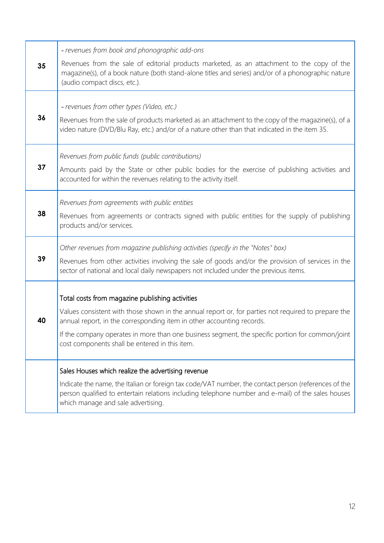|    | - revenues from book and phonographic add-ons                                                                                                                                                                                                    |
|----|--------------------------------------------------------------------------------------------------------------------------------------------------------------------------------------------------------------------------------------------------|
| 35 | Revenues from the sale of editorial products marketed, as an attachment to the copy of the<br>magazine(s), of a book nature (both stand-alone titles and series) and/or of a phonographic nature<br>(audio compact discs, etc.).                 |
|    |                                                                                                                                                                                                                                                  |
| 36 | - revenues from other types (Video, etc.)<br>Revenues from the sale of products marketed as an attachment to the copy of the magazine(s), of a<br>video nature (DVD/Blu Ray, etc.) and/or of a nature other than that indicated in the item 35.  |
|    | Revenues from public funds (public contributions)                                                                                                                                                                                                |
| 37 | Amounts paid by the State or other public bodies for the exercise of publishing activities and<br>accounted for within the revenues relating to the activity itself.                                                                             |
|    | Revenues from agreements with public entities                                                                                                                                                                                                    |
| 38 | Revenues from agreements or contracts signed with public entities for the supply of publishing<br>products and/or services.                                                                                                                      |
|    | Other revenues from magazine publishing activities (specify in the "Notes" box)                                                                                                                                                                  |
| 39 | Revenues from other activities involving the sale of goods and/or the provision of services in the<br>sector of national and local daily newspapers not included under the previous items.                                                       |
|    | Total costs from magazine publishing activities                                                                                                                                                                                                  |
| 40 | Values consistent with those shown in the annual report or, for parties not required to prepare the<br>annual report, in the corresponding item in other accounting records.                                                                     |
|    | If the company operates in more than one business segment, the specific portion for common/joint<br>cost components shall be entered in this item.                                                                                               |
|    | Sales Houses which realize the advertising revenue                                                                                                                                                                                               |
|    | Indicate the name, the Italian or foreign tax code/VAT number, the contact person (references of the<br>person qualified to entertain relations including telephone number and e-mail) of the sales houses<br>which manage and sale advertising. |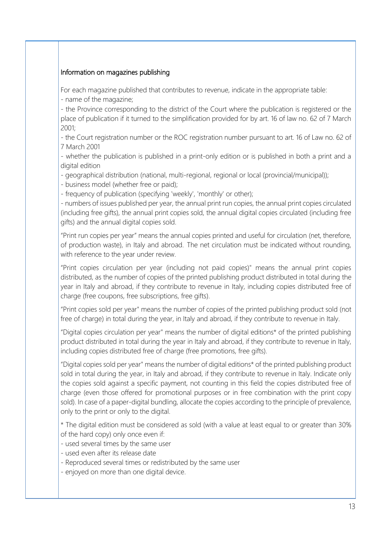#### Information on magazines publishing

For each magazine published that contributes to revenue, indicate in the appropriate table:

- name of the magazine;

- the Province corresponding to the district of the Court where the publication is registered or the place of publication if it turned to the simplification provided for by art. 16 of law no. 62 of 7 March 2001;

- the Court registration number or the ROC registration number pursuant to art. 16 of Law no. 62 of 7 March 2001

- whether the publication is published in a print-only edition or is published in both a print and a digital edition

- geographical distribution (national, multi-regional, regional or local (provincial/municipal));

- business model (whether free or paid);

- frequency of publication (specifying 'weekly', 'monthly' or other);

- numbers of issues published per year, the annual print run copies, the annual print copies circulated (including free gifts), the annual print copies sold, the annual digital copies circulated (including free gifts) and the annual digital copies sold.

"Print run copies per year" means the annual copies printed and useful for circulation (net, therefore, of production waste), in Italy and abroad. The net circulation must be indicated without rounding, with reference to the year under review.

"Print copies circulation per year (including not paid copies)" means the annual print copies distributed, as the number of copies of the printed publishing product distributed in total during the year in Italy and abroad, if they contribute to revenue in Italy, including copies distributed free of charge (free coupons, free subscriptions, free gifts).

"Print copies sold per year" means the number of copies of the printed publishing product sold (not free of charge) in total during the year, in Italy and abroad, if they contribute to revenue in Italy.

"Digital copies circulation per year" means the number of digital editions\* of the printed publishing product distributed in total during the year in Italy and abroad, if they contribute to revenue in Italy, including copies distributed free of charge (free promotions, free gifts).

"Digital copies sold per year" means the number of digital editions\* of the printed publishing product sold in total during the year, in Italy and abroad, if they contribute to revenue in Italy. Indicate only the copies sold against a specific payment, not counting in this field the copies distributed free of charge (even those offered for promotional purposes or in free combination with the print copy sold). In case of a paper-digital bundling, allocate the copies according to the principle of prevalence, only to the print or only to the digital.

\* The digital edition must be considered as sold (with a value at least equal to or greater than 30% of the hard copy) only once even if:

- used several times by the same user

- used even after its release date
- Reproduced several times or redistributed by the same user
- enjoyed on more than one digital device.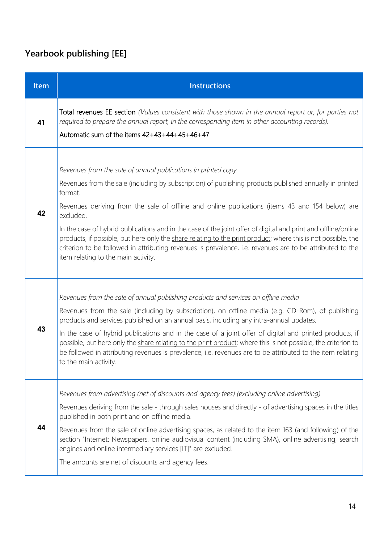### **Yearbook publishing [EE]**

| <b>Item</b> | <b>Instructions</b>                                                                                                                                                                                                                                                                                                                                                                                                                                                                                                                                                                                                                                                                       |
|-------------|-------------------------------------------------------------------------------------------------------------------------------------------------------------------------------------------------------------------------------------------------------------------------------------------------------------------------------------------------------------------------------------------------------------------------------------------------------------------------------------------------------------------------------------------------------------------------------------------------------------------------------------------------------------------------------------------|
| 41          | Total revenues EE section (Values consistent with those shown in the annual report or, for parties not<br>required to prepare the annual report, in the corresponding item in other accounting records).<br>Automatic sum of the items $42+43+44+45+46+47$                                                                                                                                                                                                                                                                                                                                                                                                                                |
| 42          | Revenues from the sale of annual publications in printed copy<br>Revenues from the sale (including by subscription) of publishing products published annually in printed<br>format.<br>Revenues deriving from the sale of offline and online publications (items 43 and 154 below) are<br>excluded.<br>In the case of hybrid publications and in the case of the joint offer of digital and print and offline/online<br>products, if possible, put here only the share relating to the print product; where this is not possible, the<br>criterion to be followed in attributing revenues is prevalence, i.e. revenues are to be attributed to the<br>item relating to the main activity. |
| 43          | Revenues from the sale of annual publishing products and services on offline media<br>Revenues from the sale (including by subscription), on offline media (e.g. CD-Rom), of publishing<br>products and services published on an annual basis, including any intra-annual updates.<br>In the case of hybrid publications and in the case of a joint offer of digital and printed products, if<br>possible, put here only the share relating to the print product; where this is not possible, the criterion to<br>be followed in attributing revenues is prevalence, i.e. revenues are to be attributed to the item relating<br>to the main activity.                                     |
| 44          | Revenues from advertising (net of discounts and agency fees) (excluding online advertising)<br>Revenues deriving from the sale - through sales houses and directly - of advertising spaces in the titles<br>published in both print and on offline media.<br>Revenues from the sale of online advertising spaces, as related to the item 163 (and following) of the<br>section "Internet: Newspapers, online audiovisual content (including SMA), online advertising, search<br>engines and online intermediary services [IT]" are excluded.<br>The amounts are net of discounts and agency fees.                                                                                         |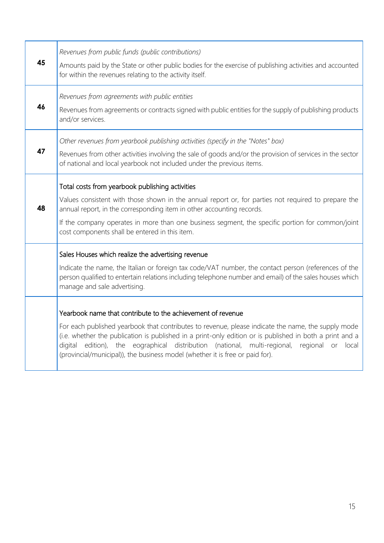| 45 | Revenues from public funds (public contributions)<br>Amounts paid by the State or other public bodies for the exercise of publishing activities and accounted<br>for within the revenues relating to the activity itself.                                                                                                                                                                                                                                                 |
|----|---------------------------------------------------------------------------------------------------------------------------------------------------------------------------------------------------------------------------------------------------------------------------------------------------------------------------------------------------------------------------------------------------------------------------------------------------------------------------|
| 46 | Revenues from agreements with public entities<br>Revenues from agreements or contracts signed with public entities for the supply of publishing products<br>and/or services.                                                                                                                                                                                                                                                                                              |
| 47 | Other revenues from yearbook publishing activities (specify in the "Notes" box)<br>Revenues from other activities involving the sale of goods and/or the provision of services in the sector<br>of national and local yearbook not included under the previous items.                                                                                                                                                                                                     |
| 48 | Total costs from yearbook publishing activities<br>Values consistent with those shown in the annual report or, for parties not required to prepare the<br>annual report, in the corresponding item in other accounting records.<br>If the company operates in more than one business segment, the specific portion for common/joint<br>cost components shall be entered in this item.                                                                                     |
|    | Sales Houses which realize the advertising revenue<br>Indicate the name, the Italian or foreign tax code/VAT number, the contact person (references of the<br>person qualified to entertain relations including telephone number and email) of the sales houses which<br>manage and sale advertising.                                                                                                                                                                     |
|    | Yearbook name that contribute to the achievement of revenue<br>For each published yearbook that contributes to revenue, please indicate the name, the supply mode<br>(i.e. whether the publication is published in a print-only edition or is published in both a print and a<br>edition), the eographical distribution (national,<br>multi-regional,<br>regional or<br>digital<br>local<br>(provincial/municipal)), the business model (whether it is free or paid for). |